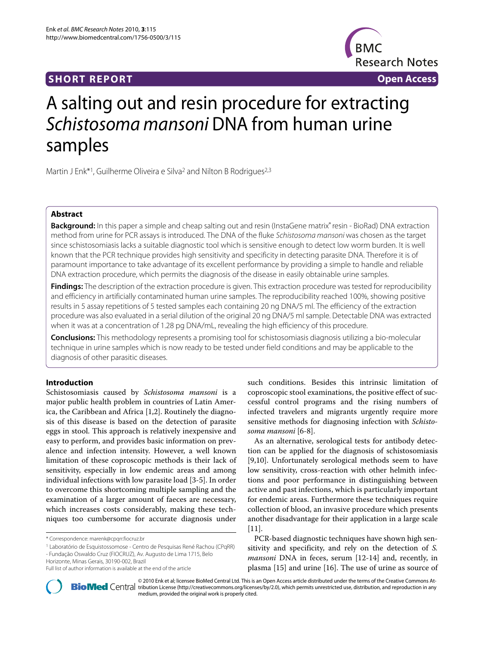

# A salting out and resin procedure for extracting Schistosoma mansoni DNA from human urine samples

Martin J Enk<sup>\*1</sup>, Guilherme Oliveira e Silva<sup>2</sup> and Nilton B Rodrigues<sup>2,3</sup>

# **Abstract**

**Background:** In this paper a simple and cheap salting out and resin (InstaGene matrix® resin - BioRad) DNA extraction method from urine for PCR assays is introduced. The DNA of the fluke Schistosoma mansoni was chosen as the target since schistosomiasis lacks a suitable diagnostic tool which is sensitive enough to detect low worm burden. It is well known that the PCR technique provides high sensitivity and specificity in detecting parasite DNA. Therefore it is of paramount importance to take advantage of its excellent performance by providing a simple to handle and reliable DNA extraction procedure, which permits the diagnosis of the disease in easily obtainable urine samples.

**Findings:** The description of the extraction procedure is given. This extraction procedure was tested for reproducibility and efficiency in artificially contaminated human urine samples. The reproducibility reached 100%, showing positive results in 5 assay repetitions of 5 tested samples each containing 20 ng DNA/5 ml. The efficiency of the extraction procedure was also evaluated in a serial dilution of the original 20 ng DNA/5 ml sample. Detectable DNA was extracted when it was at a concentration of 1.28 pg DNA/mL, revealing the high efficiency of this procedure.

**Conclusions:** This methodology represents a promising tool for schistosomiasis diagnosis utilizing a bio-molecular technique in urine samples which is now ready to be tested under field conditions and may be applicable to the diagnosis of other parasitic diseases.

# **Introduction**

Schistosomiasis caused by *Schistosoma mansoni* is a major public health problem in countries of Latin America, the Caribbean and Africa [\[1](#page-2-0)[,2](#page-2-1)]. Routinely the diagnosis of this disease is based on the detection of parasite eggs in stool. This approach is relatively inexpensive and easy to perform, and provides basic information on prevalence and infection intensity. However, a well known limitation of these coproscopic methods is their lack of sensitivity, especially in low endemic areas and among individual infections with low parasite load [\[3](#page-2-2)-[5\]](#page-2-3). In order to overcome this shortcoming multiple sampling and the examination of a larger amount of faeces are necessary, which increases costs considerably, making these techniques too cumbersome for accurate diagnosis under

such conditions. Besides this intrinsic limitation of coproscopic stool examinations, the positive effect of successful control programs and the rising numbers of infected travelers and migrants urgently require more sensitive methods for diagnosing infection with *Schistosoma mansoni* [[6](#page-2-4)[-8](#page-2-5)].

As an alternative, serological tests for antibody detection can be applied for the diagnosis of schistosomiasis [[9,](#page-2-6)[10\]](#page-2-7). Unfortunately serological methods seem to have low sensitivity, cross-reaction with other helmith infections and poor performance in distinguishing between active and past infections, which is particularly important for endemic areas. Furthermore these techniques require collection of blood, an invasive procedure which presents another disadvantage for their application in a large scale  $[11]$  $[11]$ .

PCR-based diagnostic techniques have shown high sensitivity and specificity, and rely on the detection of *S. mansoni* DNA in feces, serum [\[12](#page-2-9)-[14\]](#page-2-10) and, recently, in plasma [[15](#page-2-11)] and urine [\[16\]](#page-3-0). The use of urine as source of



© 2010 Enk et al; licensee [BioMed](http://www.biomedcentral.com/) Central Ltd. This is an Open Access article distributed under the terms of the Creative Commons At-<br>Bio Med Central tribution License (http://creativecommons.org/licenses/by/2.0), which p medium, provided the original work is properly cited.

<sup>\*</sup> Correspondence: marenk@cpqrr.fiocruz.br

<sup>1</sup> Laboratório de Esquistossomose - Centro de Pesquisas René Rachou (CPqRR)

<sup>-</sup> Fundação Oswaldo Cruz (FIOCRUZ), Av. Augusto de Lima 1715, Belo Horizonte, Minas Gerais, 30190-002, Brazil

Full list of author information is available at the end of the article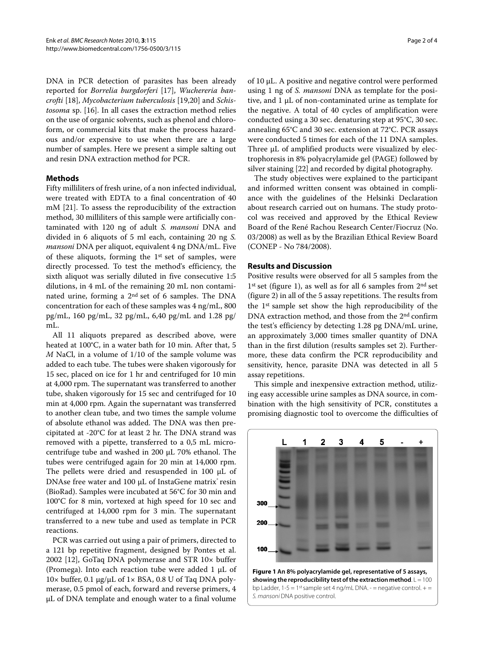DNA in PCR detection of parasites has been already reported for *Borrelia burgdorferi* [\[17\]](#page-3-1), *Wuchereria bancrofti* [\[18](#page-3-2)], *Mycobacterium tuberculosis* [\[19](#page-3-3)[,20](#page-3-4)] and *Schistosoma* sp. [[16](#page-3-0)]. In all cases the extraction method relies on the use of organic solvents, such as phenol and chloroform, or commercial kits that make the process hazardous and/or expensive to use when there are a large number of samples. Here we present a simple salting out and resin DNA extraction method for PCR.

# **Methods**

Fifty milliliters of fresh urine, of a non infected individual, were treated with EDTA to a final concentration of 40 mM [[21](#page-3-5)]. To assess the reproducibility of the extraction method, 30 milliliters of this sample were artificially contaminated with 120 ng of adult *S. mansoni* DNA and divided in 6 aliquots of 5 ml each, containing 20 ng *S. mansoni* DNA per aliquot, equivalent 4 ng DNA/mL. Five of these aliquots, forming the 1st set of samples, were directly processed. To test the method's efficiency, the sixth aliquot was serially diluted in five consecutive 1:5 dilutions, in 4 mL of the remaining 20 mL non contaminated urine, forming a 2nd set of 6 samples. The DNA concentration for each of these samples was 4 ng/mL, 800 pg/mL, 160 pg/mL, 32 pg/mL, 6,40 pg/mL and 1.28 pg/ mL.

All 11 aliquots prepared as described above, were heated at 100°C, in a water bath for 10 min. After that, 5 *M* NaCl, in a volume of 1/10 of the sample volume was added to each tube. The tubes were shaken vigorously for 15 sec, placed on ice for 1 hr and centrifuged for 10 min at 4,000 rpm. The supernatant was transferred to another tube, shaken vigorously for 15 sec and centrifuged for 10 min at 4,000 rpm. Again the supernatant was transferred to another clean tube, and two times the sample volume of absolute ethanol was added. The DNA was then precipitated at -20°C for at least 2 hr. The DNA strand was removed with a pipette, transferred to a 0,5 mL microcentrifuge tube and washed in 200 μL 70% ethanol. The tubes were centrifuged again for 20 min at 14,000 rpm. The pellets were dried and resuspended in 100 μL of DNAse free water and 100 μL of InstaGene matrix<sup>®</sup> resin (BioRad). Samples were incubated at 56°C for 30 min and 100°C for 8 min, vortexed at high speed for 10 sec and centrifuged at 14,000 rpm for 3 min. The supernatant transferred to a new tube and used as template in PCR reactions.

PCR was carried out using a pair of primers, directed to a 121 bp repetitive fragment, designed by Pontes et al. 2002 [[12\]](#page-2-9), GoTaq DNA polymerase and STR 10× buffer (Promega). Into each reaction tube were added 1 μL of  $10\times$  buffer, 0.1 μg/μL of 1× BSA, 0.8 U of Taq DNA polymerase, 0.5 pmol of each, forward and reverse primers, 4 μL of DNA template and enough water to a final volume

of 10 μL. A positive and negative control were performed using 1 ng of *S. mansoni* DNA as template for the positive, and 1 μL of non-contaminated urine as template for the negative. A total of 40 cycles of amplification were conducted using a 30 sec. denaturing step at 95°C, 30 sec. annealing 65°C and 30 sec. extension at 72°C. PCR assays were conducted 5 times for each of the 11 DNA samples. Three μL of amplified products were visualized by electrophoresis in 8% polyacrylamide gel (PAGE) followed by silver staining [[22](#page-3-6)] and recorded by digital photography.

The study objectives were explained to the participant and informed written consent was obtained in compliance with the guidelines of the Helsinki Declaration about research carried out on humans. The study protocol was received and approved by the Ethical Review Board of the René Rachou Research Center/Fiocruz (No. 03/2008) as well as by the Brazilian Ethical Review Board (CONEP - No 784/2008).

# **Results and Discussion**

Positive results were observed for all 5 samples from the  $1<sup>st</sup>$  set (figure [1\)](#page-1-0), as well as for all 6 samples from  $2<sup>nd</sup>$  set (figure [2](#page-2-12)) in all of the 5 assay repetitions. The results from the 1st sample set show the high reproducibility of the DNA extraction method, and those from the 2nd confirm the test's efficiency by detecting 1.28 pg DNA/mL urine, an approximately 3,000 times smaller quantity of DNA than in the first dilution (results samples set 2). Furthermore, these data confirm the PCR reproducibility and sensitivity, hence, parasite DNA was detected in all 5 assay repetitions.

This simple and inexpensive extraction method, utilizing easy accessible urine samples as DNA source, in combination with the high sensitivity of PCR, constitutes a promising diagnostic tool to overcome the difficulties of

<span id="page-1-0"></span>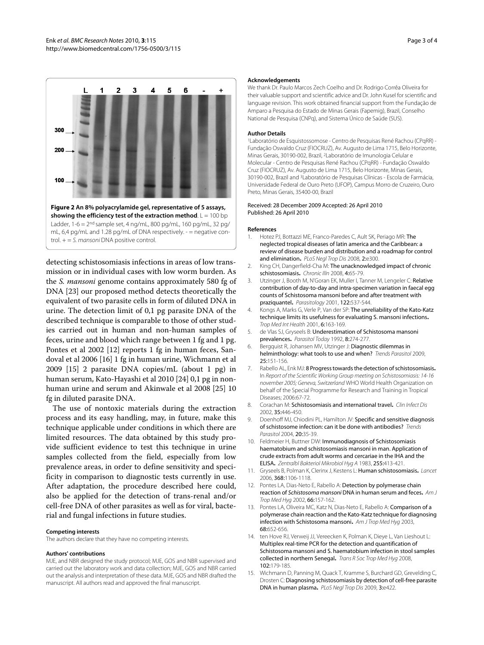<span id="page-2-12"></span>

mL, 6,4 pg/mL and 1.28 pg/mL of DNA respectively. - = negative control.  $+ = S$ . mansoni DNA positive control.

detecting schistosomiasis infections in areas of low transmission or in individual cases with low worm burden. As the *S. mansoni* genome contains approximately 580 fg of DNA [\[23\]](#page-3-7) our proposed method detects theoretically the equivalent of two parasite cells in form of diluted DNA in urine. The detection limit of 0,1 pg parasite DNA of the described technique is comparable to those of other studies carried out in human and non-human samples of feces, urine and blood which range between 1 fg and 1 pg. Pontes et al 2002 [[12](#page-2-9)] reports 1 fg in human feces, Sandoval et al 2006 [[16](#page-3-0)] 1 fg in human urine, Wichmann et al 2009 [\[15](#page-2-11)] 2 parasite DNA copies/mL (about 1 pg) in human serum, Kato-Hayashi et al 2010 [\[24](#page-3-8)] 0,1 pg in nonhuman urine and serum and Akinwale et al 2008 [[25\]](#page-3-9) 10 fg in diluted parasite DNA.

The use of nontoxic materials during the extraction process and its easy handling, may, in future, make this technique applicable under conditions in which there are limited resources. The data obtained by this study provide sufficient evidence to test this technique in urine samples collected from the field, especially from low prevalence areas, in order to define sensitivity and specificity in comparison to diagnostic tests currently in use. After adaptation, the procedure described here could, also be applied for the detection of trans-renal and/or cell-free DNA of other parasites as well as for viral, bacterial and fungal infections in future studies.

#### **Competing interests**

The authors declare that they have no competing interests.

#### **Authors' contributions**

MJE, and NBR designed the study protocol; MJE, GOS and NBR supervised and carried out the laboratory work and data collection; MJE, GOS and NBR carried out the analysis and interpretation of these data. MJE, GOS and NBR drafted the manuscript. All authors read and approved the final manuscript.

#### **Acknowledgements**

We thank Dr. Paulo Marcos Zech Coelho and Dr. Rodrigo Corrêa Oliveira for their valuable support and scientific advice and Dr. John Kusel for scientific and language revision. This work obtained financial support from the Fundação de Amparo a Pesquisa do Estado de Minas Gerais (Fapemig), Brazil, Conselho National de Pesquisa (CNPq), and Sistema Único de Saúde (SUS).

#### **Author Details**

1Laboratório de Esquistossomose - Centro de Pesquisas René Rachou (CPqRR) - Fundação Oswaldo Cruz (FIOCRUZ), Av. Augusto de Lima 1715, Belo Horizonte, Minas Gerais, 30190-002, Brazil, 2Laboratório de Imunologia Celular e Molecular - Centro de Pesquisas René Rachou (CPqRR) - Fundação Oswaldo Cruz (FIOCRUZ), Av. Augusto de Lima 1715, Belo Horizonte, Minas Gerais, 30190-002, Brazil and 3Laboratório de Pesquisas Clínicas - Escola de Farmácia, Universidade Federal de Ouro Preto (UFOP), Campus Morro de Cruzeiro, Ouro Preto, Minas Gerais, 35400-00, Brazil

### Received: 28 December 2009 Accepted: 26 April 2010 Published: 26 April 2010

#### **References**

- <span id="page-2-0"></span>1. Hotez PJ, Bottazzi ME, Franco-Paredes C, Ault SK, Periago MR: The neglected tropical diseases of latin america and the Caribbean: a review of disease burden and distribution and a roadmap for control and elimination. PLoS Neal Trop Dis 2008, 2:e300.
- <span id="page-2-1"></span>2. King CH, Dangerfield-Cha M: The unacknowledged impact of chronic schistosomiasis**.** Chronic Illn 2008, 4:65-79.
- <span id="page-2-2"></span>3. Utzinger J, Booth M, N'Goran EK, Muller I, Tanner M, Lengeler C: Relative contribution of day-to-day and intra-specimen variation in faecal egg counts of Schistosoma mansoni before and after treatment with praziquantel**.** Parasitology 2001, 122:537-544.
- 4. Kongs A, Marks G, Verle P, Van der SP: The unreliability of the Kato-Katz technique limits its usefulness for evaluating S. mansoni infections**.** Trop Med Int Health 2001, 6:163-169.
- <span id="page-2-3"></span>5. de Vlas SJ, Gryseels B: Underestimation of Schistosoma mansoni prevalences**.** Parasitol Today 1992, 8:274-277.
- <span id="page-2-4"></span>6. Bergquist R, Johansen MV, Utzinger J: Diagnostic dilemmas in helminthology: what tools to use and when? Trends Parasitol 2009, 25:151-156.
- 7. Rabello AL, Enk MJ: 8 Progress towards the detection of schistosomiasis**.** In Report of the Scientific Working Group meeting on Schistosomiasis: 14-16 november 2005; Geneva, Switzerland WHO World Health Organization on behalf of the Special Programme for Research and Training in Tropical Diseases; 2006:67-72.
- <span id="page-2-5"></span>8. Corachan M: Schistosomiasis and international travel**.** Clin Infect Dis 2002, 35:446-450.
- <span id="page-2-6"></span>9. Doenhoff MJ, Chiodini PL, Hamilton JV: Specific and sensitive diagnosis of schistosome infection: can it be done with antibodies?Trends Parasitol 2004, 20:35-39.
- <span id="page-2-7"></span>10. Feldmeier H, Buttner DW: Immunodiagnosis of Schistosomiasis haematobium and schistosomiasis mansoni in man. Application of crude extracts from adult worms and cercariae in the IHA and the ELISA**.** Zentralbl Bakteriol Mikrobiol Hyg A 1983, 255:413-421.
- <span id="page-2-8"></span>11. Gryseels B, Polman K, Clerinx J, Kestens L: Human schistosomiasis**.** Lancet 2006, 368:1106-1118.
- <span id="page-2-9"></span>12. Pontes LA, Dias-Neto E, Rabello A: Detection by polymerase chain reaction of Schistosoma mansoni DNA in human serum and feces**.** Am J Trop Med Hyg 2002, 66:157-162.
- 13. Pontes LA, Oliveira MC, Katz N, Dias-Neto E, Rabello A: Comparison of a polymerase chain reaction and the Kato-Katz technique for diagnosing infection with Schistosoma mansoni**.** Am J Trop Med Hyg 2003, 68:652-656.
- <span id="page-2-10"></span>14. ten Hove RJ, Verweij JJ, Vereecken K, Polman K, Dieye L, Van Lieshout L: Multiplex real-time PCR for the detection and quantification of Schistosoma mansoni and S. haematobium infection in stool samples collected in northern Senegal**.** Trans R Soc Trop Med Hyg 2008, 102:179-185.
- <span id="page-2-11"></span>15. Wichmann D, Panning M, Quack T, Kramme S, Burchard GD, Grevelding C, Drosten C: Diagnosing schistosomiasis by detection of cell-free parasite DNA in human plasma**.** PLoS Negl Trop Dis 2009, 3:e422.